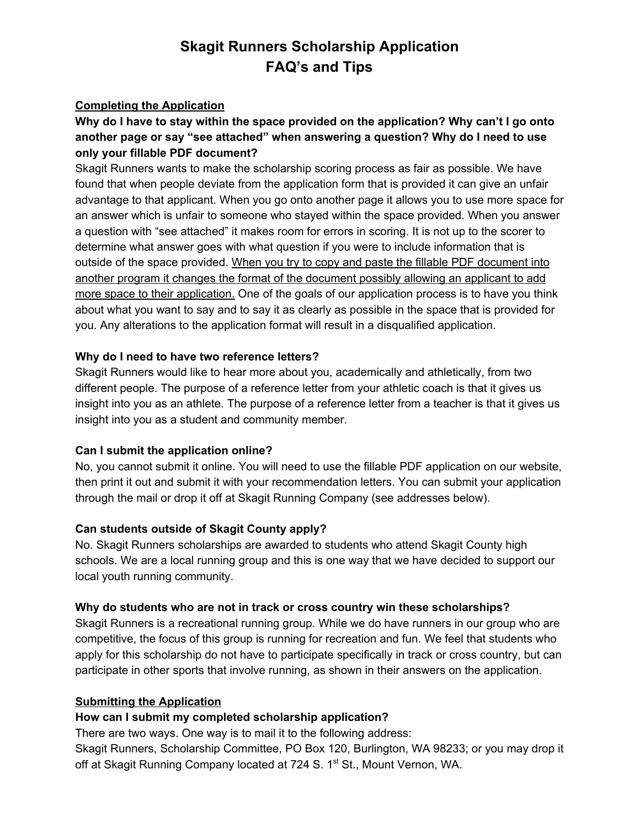# **Skagit Runners Scholarship Application FAQ's and Tips**

## **Completing the Application**

## **Why do I have to stay within the space provided on the application? Why can't I go onto another page or say "see attached" when answering a question? Why do I need to use only your fillable PDF document?**

Skagit Runners wants to make the scholarship scoring process as fair as possible. We have found that when people deviate from the application form that is provided it can give an unfair advantage to that applicant. When you go onto another page it allows you to use more space for an answer which is unfair to someone who stayed within the space provided. When you answer a question with "see attached" it makes room for errors in scoring. It is not up to the scorer to determine what answer goes with what question if you were to include information that is outside of the space provided. When you try to copy and paste the fillable PDF document into another program it changes the format of the document possibly allowing an applicant to add more space to their application. One of the goals of our application process is to have you think about what you want to say and to say it as clearly as possible in the space that is provided for you. Any alterations to the application format will result in a disqualified application.

## **Why do I need to have two reference letters?**

Skagit Runners would like to hear more about you, academically and athletically, from two different people. The purpose of a reference letter from your athletic coach is that it gives us insight into you as an athlete. The purpose of a reference letter from a teacher is that it gives us insight into you as a student and community member.

## **Can I submit the application online?**

No, you cannot submit it online. You will need to use the fillable PDF application on our website, then print it out and submit it with your recommendation letters. You can submit your application through the mail or drop it off at Skagit Running Company (see addresses below).

## **Can students outside of Skagit County apply?**

No. Skagit Runners scholarships are awarded to students who attend Skagit County high schools. We are a local running group and this is one way that we have decided to support our local youth running community.

## **Why do students who are not in track or cross country win these scholarships?**

Skagit Runners is a recreational running group. While we do have runners in our group who are competitive, the focus of this group is running for recreation and fun. We feel that students who apply for this scholarship do not have to participate specifically in track or cross country, but can participate in other sports that involve running, as shown in their answers on the application.

## **Submitting the Application**

## **How can I submit my completed scholarship application?**

There are two ways. One way is to mail it to the following address:

Skagit Runners, Scholarship Committee, PO Box 120, Burlington, WA 98233; or you may drop it off at Skagit Running Company located at 724 S. 1<sup>st</sup> St., Mount Vernon, WA.